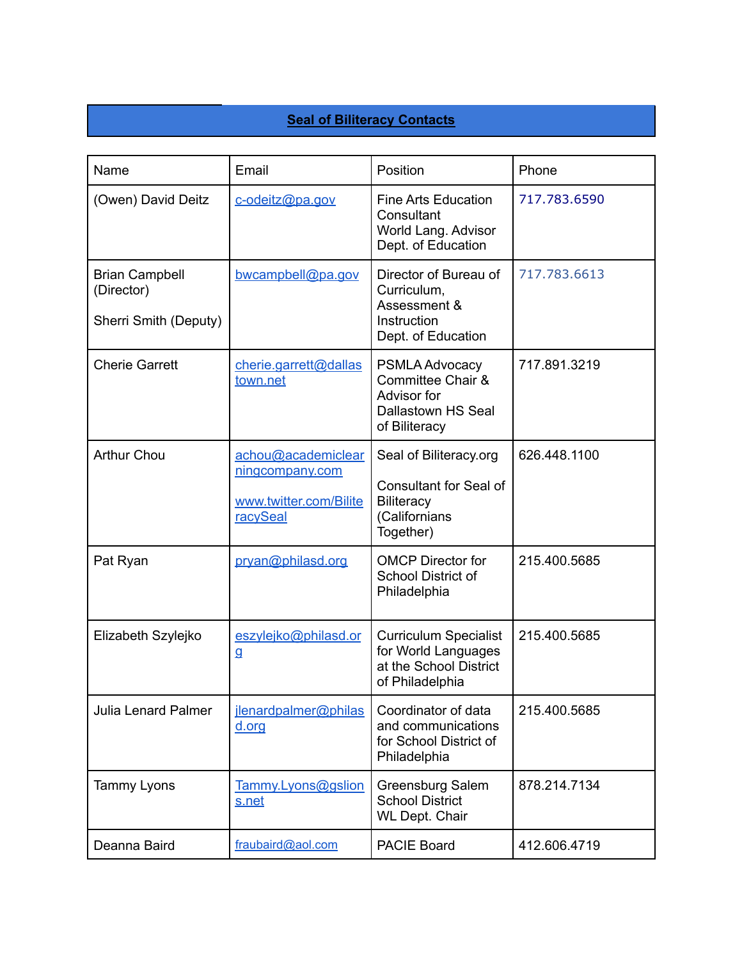## **Seal of Biliteracy Contacts**

| Name                                                         | Email                                                                       | Position                                                                                                   | Phone        |
|--------------------------------------------------------------|-----------------------------------------------------------------------------|------------------------------------------------------------------------------------------------------------|--------------|
| (Owen) David Deitz                                           | c-odeitz@pa.gov                                                             | <b>Fine Arts Education</b><br>Consultant<br>World Lang. Advisor<br>Dept. of Education                      | 717.783.6590 |
| <b>Brian Campbell</b><br>(Director)<br>Sherri Smith (Deputy) | bwcampbell@pa.gov                                                           | Director of Bureau of<br>Curriculum,<br>Assessment &<br>Instruction<br>Dept. of Education                  | 717.783.6613 |
| <b>Cherie Garrett</b>                                        | cherie.garrett@dallas<br>town.net                                           | <b>PSMLA Advocacy</b><br>Committee Chair &<br>Advisor for<br>Dallastown HS Seal<br>of Biliteracy           | 717.891.3219 |
| <b>Arthur Chou</b>                                           | achou@academiclear<br>ningcompany.com<br>www.twitter.com/Bilite<br>racySeal | Seal of Biliteracy.org<br><b>Consultant for Seal of</b><br><b>Biliteracy</b><br>(Californians<br>Together) | 626.448.1100 |
| Pat Ryan                                                     | pryan@philasd.org                                                           | <b>OMCP Director for</b><br>School District of<br>Philadelphia                                             | 215.400.5685 |
| Elizabeth Szylejko                                           | eszylejko@philasd.or<br>g                                                   | <b>Curriculum Specialist</b><br>for World Languages<br>at the School District<br>of Philadelphia           | 215.400.5685 |
| <b>Julia Lenard Palmer</b>                                   | jlenardpalmer@philas<br>d.org                                               | Coordinator of data<br>and communications<br>for School District of<br>Philadelphia                        | 215.400.5685 |
| Tammy Lyons                                                  | Tammy.Lyons@gslion<br>s.net                                                 | Greensburg Salem<br><b>School District</b><br><b>WL Dept. Chair</b>                                        | 878.214.7134 |
| Deanna Baird                                                 | fraubaird@aol.com                                                           | <b>PACIE Board</b>                                                                                         | 412.606.4719 |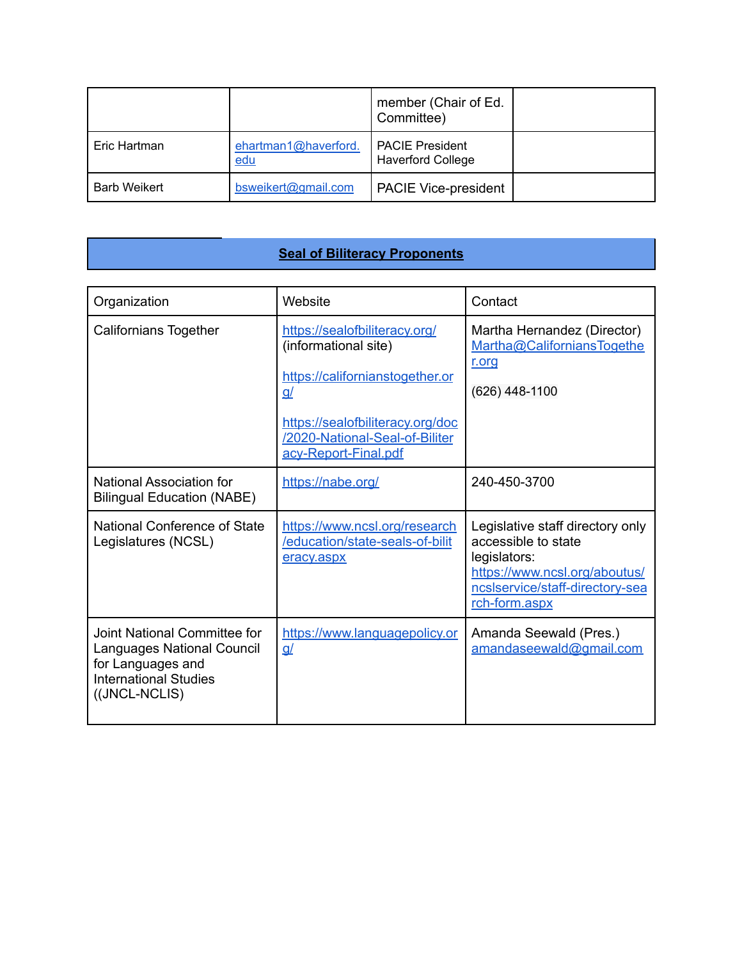|                     |                                    | member (Chair of Ed.<br>Committee)                 |  |
|---------------------|------------------------------------|----------------------------------------------------|--|
| Eric Hartman        | ehartman1@haverford.<br><u>edu</u> | <b>PACIE President</b><br><b>Haverford College</b> |  |
| <b>Barb Weikert</b> | bsweikert@gmail.com                | <b>PACIE Vice-president</b>                        |  |

## **Seal of Biliteracy Proponents**

| Organization                                                                                                                            | Website                                                                                               | Contact                                                                                                                                                      |
|-----------------------------------------------------------------------------------------------------------------------------------------|-------------------------------------------------------------------------------------------------------|--------------------------------------------------------------------------------------------------------------------------------------------------------------|
| <b>Californians Together</b>                                                                                                            | https://sealofbiliteracy.org/<br>(informational site)<br>https://californianstogether.or<br><u>g/</u> | Martha Hernandez (Director)<br>Martha@CaliforniansTogethe<br>r.org<br>(626) 448-1100                                                                         |
|                                                                                                                                         | https://sealofbiliteracy.org/doc<br>/2020-National-Seal-of-Biliter<br>acy-Report-Final.pdf            |                                                                                                                                                              |
| National Association for<br><b>Bilingual Education (NABE)</b>                                                                           | https://nabe.org/                                                                                     | 240-450-3700                                                                                                                                                 |
| National Conference of State<br>Legislatures (NCSL)                                                                                     | https://www.ncsl.org/research<br>/education/state-seals-of-bilit<br>eracy.aspx                        | Legislative staff directory only<br>accessible to state<br>legislators:<br>https://www.ncsl.org/aboutus/<br>ncsIservice/staff-directory-sea<br>rch-form.aspx |
| Joint National Committee for<br><b>Languages National Council</b><br>for Languages and<br><b>International Studies</b><br>((JNCL-NCLIS) | https://www.languagepolicy.or<br><u>q/</u>                                                            | Amanda Seewald (Pres.)<br>amandaseewald@gmail.com                                                                                                            |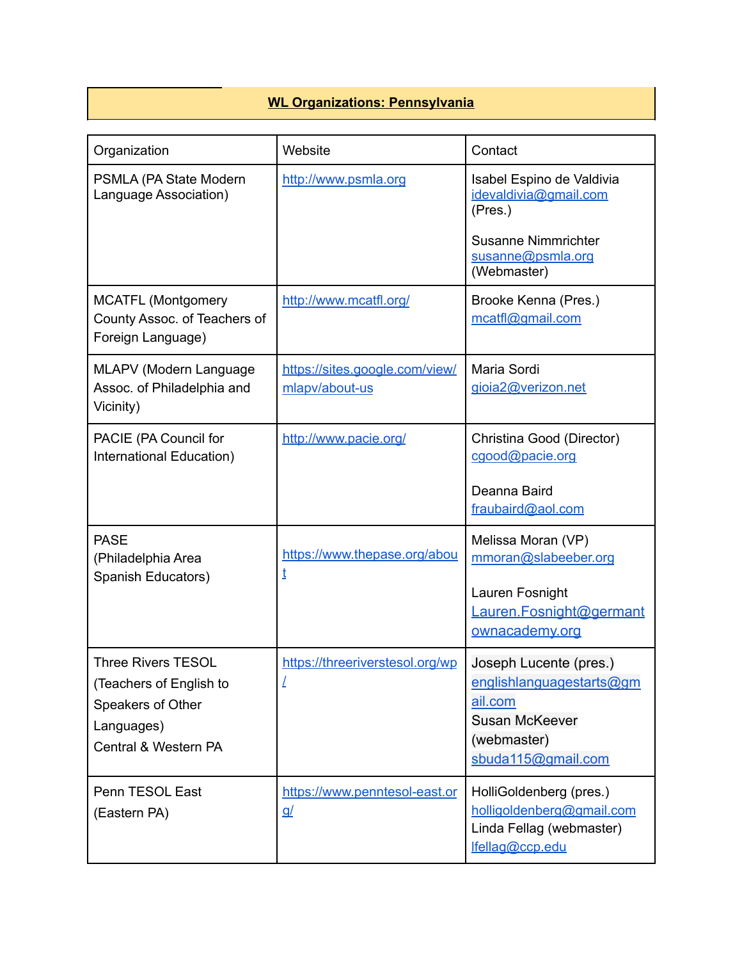## **WL Organizations: Pennsylvania**

| Organization                                                                                                    | Website                                          | Contact                                                                                                                            |
|-----------------------------------------------------------------------------------------------------------------|--------------------------------------------------|------------------------------------------------------------------------------------------------------------------------------------|
| PSMLA (PA State Modern<br>Language Association)                                                                 | http://www.psmla.org                             | Isabel Espino de Valdivia<br>idevaldivia@gmail.com<br>(Pres.)                                                                      |
|                                                                                                                 |                                                  | <b>Susanne Nimmrichter</b><br>susanne@psmla.org<br>(Webmaster)                                                                     |
| <b>MCATFL (Montgomery</b><br>County Assoc. of Teachers of<br>Foreign Language)                                  | http://www.mcatfl.org/                           | Brooke Kenna (Pres.)<br>mcatfl@gmail.com                                                                                           |
| MLAPV (Modern Language<br>Assoc. of Philadelphia and<br>Vicinity)                                               | https://sites.google.com/view/<br>mlapv/about-us | Maria Sordi<br>gioia2@verizon.net                                                                                                  |
| PACIE (PA Council for<br>International Education)                                                               | http://www.pacie.org/                            | Christina Good (Director)<br>cgood@pacie.org                                                                                       |
|                                                                                                                 |                                                  | Deanna Baird<br>fraubaird@aol.com                                                                                                  |
| <b>PASE</b><br>(Philadelphia Area<br>Spanish Educators)                                                         | https://www.thepase.org/abou<br>ţ                | Melissa Moran (VP)<br>mmoran@slabeeber.org                                                                                         |
|                                                                                                                 |                                                  | Lauren Fosnight<br>Lauren.Fosnight@germant<br>ownacademy.org                                                                       |
| <b>Three Rivers TESOL</b><br>(Teachers of English to<br>Speakers of Other<br>Languages)<br>Central & Western PA | https://threeriverstesol.org/wp                  | Joseph Lucente (pres.)<br><u>englishlanguagestarts@gm</u><br>ail.com<br><b>Susan McKeever</b><br>(webmaster)<br>sbuda115@gmail.com |
| Penn TESOL East<br>(Eastern PA)                                                                                 | https://www.penntesol-east.or<br><u>g/</u>       | HolliGoldenberg (pres.)<br>holligoldenberg@gmail.com<br>Linda Fellag (webmaster)<br>lfellag@ccp.edu                                |